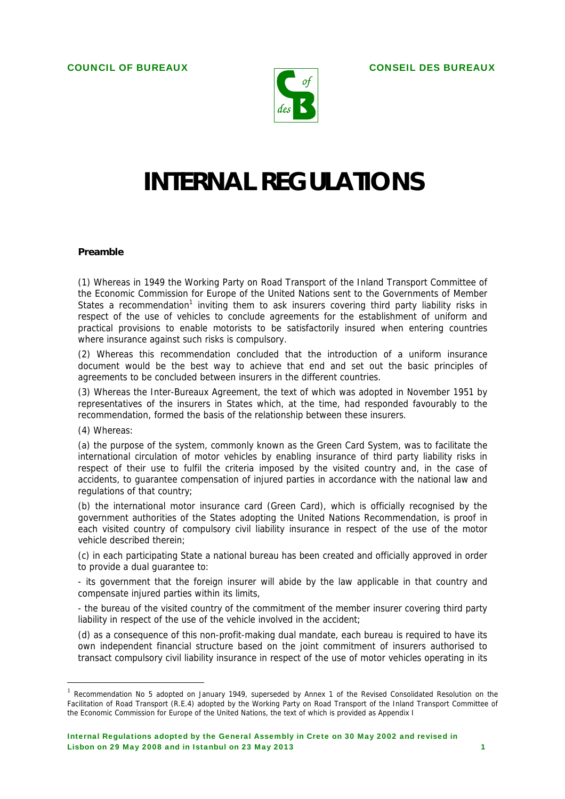COUNCIL OF BUREAUX CONSEIL DES BUREAUX



# **INTERNAL REGULATIONS**

#### **Preamble**

(1) Whereas in 1949 the Working Party on Road Transport of the Inland Transport Committee of the Economic Commission for Europe of the United Nations sent to the Governments of Member States a recommendation<sup>1</sup> inviting them to ask insurers covering third party liability risks in respect of the use of vehicles to conclude agreements for the establishment of uniform and practical provisions to enable motorists to be satisfactorily insured when entering countries where insurance against such risks is compulsory.

(2) Whereas this recommendation concluded that the introduction of a uniform insurance document would be the best way to achieve that end and set out the basic principles of agreements to be concluded between insurers in the different countries.

(3) Whereas the Inter-Bureaux Agreement, the text of which was adopted in November 1951 by representatives of the insurers in States which, at the time, had responded favourably to the recommendation, formed the basis of the relationship between these insurers.

(4) Whereas:

 $\overline{a}$ 

(a) the purpose of the system, commonly known as the Green Card System, was to facilitate the international circulation of motor vehicles by enabling insurance of third party liability risks in respect of their use to fulfil the criteria imposed by the visited country and, in the case of accidents, to guarantee compensation of injured parties in accordance with the national law and regulations of that country;

(b) the international motor insurance card (Green Card), which is officially recognised by the government authorities of the States adopting the United Nations Recommendation, is proof in each visited country of compulsory civil liability insurance in respect of the use of the motor vehicle described therein;

(c) in each participating State a national bureau has been created and officially approved in order to provide a dual guarantee to:

- its government that the foreign insurer will abide by the law applicable in that country and compensate injured parties within its limits,

- the bureau of the visited country of the commitment of the member insurer covering third party liability in respect of the use of the vehicle involved in the accident;

(d) as a consequence of this non-profit-making dual mandate, each bureau is required to have its own independent financial structure based on the joint commitment of insurers authorised to transact compulsory civil liability insurance in respect of the use of motor vehicles operating in its

 $1$  Recommendation No 5 adopted on January 1949, superseded by Annex 1 of the Revised Consolidated Resolution on the Facilitation of Road Transport (R.E.4) adopted by the Working Party on Road Transport of the Inland Transport Committee of the Economic Commission for Europe of the United Nations, the text of which is provided as Appendix I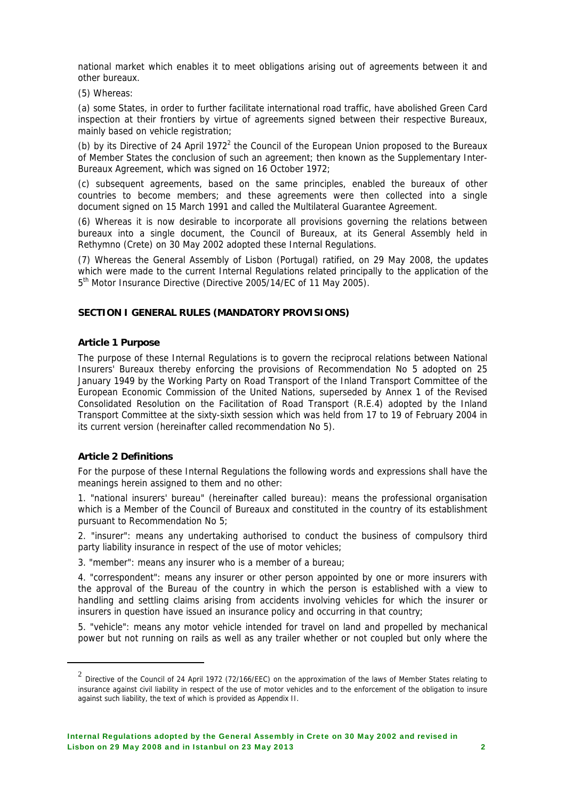national market which enables it to meet obligations arising out of agreements between it and other bureaux.

(5) Whereas:

(a) some States, in order to further facilitate international road traffic, have abolished Green Card inspection at their frontiers by virtue of agreements signed between their respective Bureaux, mainly based on vehicle registration;

(b) by its Directive of 24 April 1972<sup>2</sup> the Council of the European Union proposed to the Bureaux of Member States the conclusion of such an agreement; then known as the Supplementary Inter-Bureaux Agreement, which was signed on 16 October 1972;

(c) subsequent agreements, based on the same principles, enabled the bureaux of other countries to become members; and these agreements were then collected into a single document signed on 15 March 1991 and called the Multilateral Guarantee Agreement.

(6) Whereas it is now desirable to incorporate all provisions governing the relations between bureaux into a single document, the Council of Bureaux, at its General Assembly held in Rethymno (Crete) on 30 May 2002 adopted these Internal Regulations.

(7) Whereas the General Assembly of Lisbon (Portugal) ratified, on 29 May 2008, the updates which were made to the current Internal Regulations related principally to the application of the 5<sup>th</sup> Motor Insurance Directive (Directive 2005/14/EC of 11 May 2005).

# **SECTION I GENERAL RULES (MANDATORY PROVISIONS)**

## **Article 1 Purpose**

The purpose of these Internal Regulations is to govern the reciprocal relations between National Insurers' Bureaux thereby enforcing the provisions of Recommendation No 5 adopted on 25 January 1949 by the Working Party on Road Transport of the Inland Transport Committee of the European Economic Commission of the United Nations, superseded by Annex 1 of the Revised Consolidated Resolution on the Facilitation of Road Transport (R.E.4) adopted by the Inland Transport Committee at the sixty-sixth session which was held from 17 to 19 of February 2004 in its current version (hereinafter called recommendation No 5).

# **Article 2 Definitions**

 $\overline{a}$ 

For the purpose of these Internal Regulations the following words and expressions shall have the meanings herein assigned to them and no other:

1. "national insurers' bureau" (hereinafter called bureau): means the professional organisation which is a Member of the Council of Bureaux and constituted in the country of its establishment pursuant to Recommendation No 5;

2. "insurer": means any undertaking authorised to conduct the business of compulsory third party liability insurance in respect of the use of motor vehicles;

3. "member": means any insurer who is a member of a bureau;

4. "correspondent": means any insurer or other person appointed by one or more insurers with the approval of the Bureau of the country in which the person is established with a view to handling and settling claims arising from accidents involving vehicles for which the insurer or insurers in question have issued an insurance policy and occurring in that country;

5. "vehicle": means any motor vehicle intended for travel on land and propelled by mechanical power but not running on rails as well as any trailer whether or not coupled but only where the

 $2$  Directive of the Council of 24 April 1972 (72/166/EEC) on the approximation of the laws of Member States relating to insurance against civil liability in respect of the use of motor vehicles and to the enforcement of the obligation to insure against such liability, the text of which is provided as Appendix II.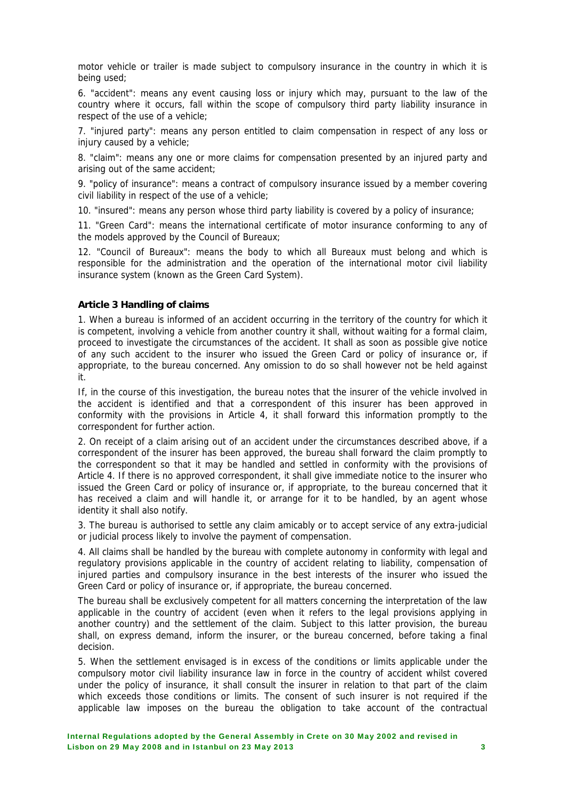motor vehicle or trailer is made subject to compulsory insurance in the country in which it is being used;

6. "accident": means any event causing loss or injury which may, pursuant to the law of the country where it occurs, fall within the scope of compulsory third party liability insurance in respect of the use of a vehicle;

7. "injured party": means any person entitled to claim compensation in respect of any loss or injury caused by a vehicle;

8. "claim": means any one or more claims for compensation presented by an injured party and arising out of the same accident;

9. "policy of insurance": means a contract of compulsory insurance issued by a member covering civil liability in respect of the use of a vehicle;

10. "insured": means any person whose third party liability is covered by a policy of insurance;

11. "Green Card": means the international certificate of motor insurance conforming to any of the models approved by the Council of Bureaux;

12. "Council of Bureaux": means the body to which all Bureaux must belong and which is responsible for the administration and the operation of the international motor civil liability insurance system (known as the Green Card System).

#### **Article 3 Handling of claims**

1. When a bureau is informed of an accident occurring in the territory of the country for which it is competent, involving a vehicle from another country it shall, without waiting for a formal claim, proceed to investigate the circumstances of the accident. It shall as soon as possible give notice of any such accident to the insurer who issued the Green Card or policy of insurance or, if appropriate, to the bureau concerned. Any omission to do so shall however not be held against it.

If, in the course of this investigation, the bureau notes that the insurer of the vehicle involved in the accident is identified and that a correspondent of this insurer has been approved in conformity with the provisions in Article 4, it shall forward this information promptly to the correspondent for further action.

2. On receipt of a claim arising out of an accident under the circumstances described above, if a correspondent of the insurer has been approved, the bureau shall forward the claim promptly to the correspondent so that it may be handled and settled in conformity with the provisions of Article 4. If there is no approved correspondent, it shall give immediate notice to the insurer who issued the Green Card or policy of insurance or, if appropriate, to the bureau concerned that it has received a claim and will handle it, or arrange for it to be handled, by an agent whose identity it shall also notify.

3. The bureau is authorised to settle any claim amicably or to accept service of any extra-judicial or judicial process likely to involve the payment of compensation.

4. All claims shall be handled by the bureau with complete autonomy in conformity with legal and regulatory provisions applicable in the country of accident relating to liability, compensation of injured parties and compulsory insurance in the best interests of the insurer who issued the Green Card or policy of insurance or, if appropriate, the bureau concerned.

The bureau shall be exclusively competent for all matters concerning the interpretation of the law applicable in the country of accident (even when it refers to the legal provisions applying in another country) and the settlement of the claim. Subject to this latter provision, the bureau shall, on express demand, inform the insurer, or the bureau concerned, before taking a final decision.

5. When the settlement envisaged is in excess of the conditions or limits applicable under the compulsory motor civil liability insurance law in force in the country of accident whilst covered under the policy of insurance, it shall consult the insurer in relation to that part of the claim which exceeds those conditions or limits. The consent of such insurer is not required if the applicable law imposes on the bureau the obligation to take account of the contractual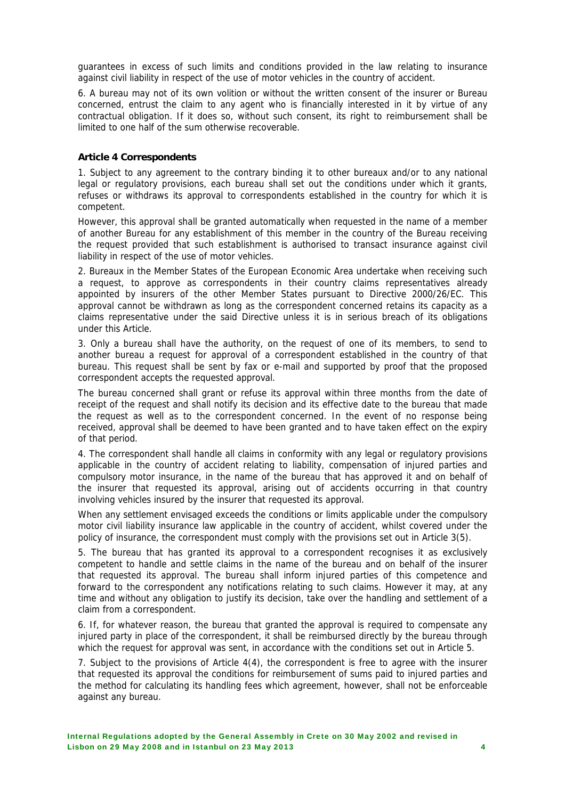guarantees in excess of such limits and conditions provided in the law relating to insurance against civil liability in respect of the use of motor vehicles in the country of accident.

6. A bureau may not of its own volition or without the written consent of the insurer or Bureau concerned, entrust the claim to any agent who is financially interested in it by virtue of any contractual obligation. If it does so, without such consent, its right to reimbursement shall be limited to one half of the sum otherwise recoverable.

## **Article 4 Correspondents**

1. Subject to any agreement to the contrary binding it to other bureaux and/or to any national legal or regulatory provisions, each bureau shall set out the conditions under which it grants, refuses or withdraws its approval to correspondents established in the country for which it is competent.

However, this approval shall be granted automatically when requested in the name of a member of another Bureau for any establishment of this member in the country of the Bureau receiving the request provided that such establishment is authorised to transact insurance against civil liability in respect of the use of motor vehicles.

2. Bureaux in the Member States of the European Economic Area undertake when receiving such a request, to approve as correspondents in their country claims representatives already appointed by insurers of the other Member States pursuant to Directive 2000/26/EC. This approval cannot be withdrawn as long as the correspondent concerned retains its capacity as a claims representative under the said Directive unless it is in serious breach of its obligations under this Article.

3. Only a bureau shall have the authority, on the request of one of its members, to send to another bureau a request for approval of a correspondent established in the country of that bureau. This request shall be sent by fax or e-mail and supported by proof that the proposed correspondent accepts the requested approval.

The bureau concerned shall grant or refuse its approval within three months from the date of receipt of the request and shall notify its decision and its effective date to the bureau that made the request as well as to the correspondent concerned. In the event of no response being received, approval shall be deemed to have been granted and to have taken effect on the expiry of that period.

4. The correspondent shall handle all claims in conformity with any legal or regulatory provisions applicable in the country of accident relating to liability, compensation of injured parties and compulsory motor insurance, in the name of the bureau that has approved it and on behalf of the insurer that requested its approval, arising out of accidents occurring in that country involving vehicles insured by the insurer that requested its approval.

When any settlement envisaged exceeds the conditions or limits applicable under the compulsory motor civil liability insurance law applicable in the country of accident, whilst covered under the policy of insurance, the correspondent must comply with the provisions set out in Article 3(5).

5. The bureau that has granted its approval to a correspondent recognises it as exclusively competent to handle and settle claims in the name of the bureau and on behalf of the insurer that requested its approval. The bureau shall inform injured parties of this competence and forward to the correspondent any notifications relating to such claims. However it may, at any time and without any obligation to justify its decision, take over the handling and settlement of a claim from a correspondent.

6. If, for whatever reason, the bureau that granted the approval is required to compensate any injured party in place of the correspondent, it shall be reimbursed directly by the bureau through which the request for approval was sent, in accordance with the conditions set out in Article 5.

7. Subject to the provisions of Article 4(4), the correspondent is free to agree with the insurer that requested its approval the conditions for reimbursement of sums paid to injured parties and the method for calculating its handling fees which agreement, however, shall not be enforceable against any bureau.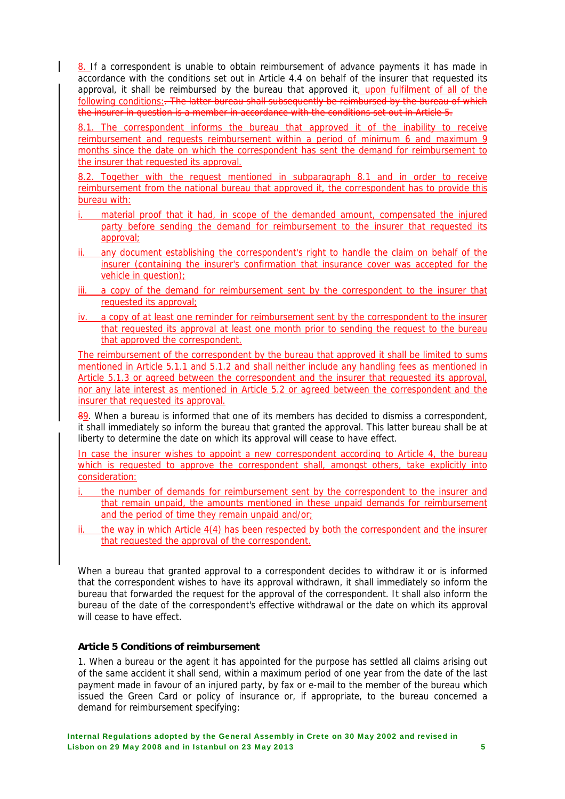8. If a correspondent is unable to obtain reimbursement of advance payments it has made in accordance with the conditions set out in Article 4.4 on behalf of the insurer that requested its approval, it shall be reimbursed by the bureau that approved it, upon fulfilment of all of the following conditions: The latter bureau shall subsequently be reimbursed by the bureau of which the insurer in question is a member in accordance with the conditions set out in Article 5.

8.1. The correspondent informs the bureau that approved it of the inability to receive reimbursement and requests reimbursement within a period of minimum 6 and maximum 9 months since the date on which the correspondent has sent the demand for reimbursement to the insurer that requested its approval.

8.2. Together with the request mentioned in subparagraph 8.1 and in order to receive reimbursement from the national bureau that approved it, the correspondent has to provide this bureau with:

- material proof that it had, in scope of the demanded amount, compensated the injured party before sending the demand for reimbursement to the insurer that requested its approval;
- any document establishing the correspondent's right to handle the claim on behalf of the insurer (containing the insurer's confirmation that insurance cover was accepted for the vehicle in question);
- iii. a copy of the demand for reimbursement sent by the correspondent to the insurer that requested its approval;
- iv. a copy of at least one reminder for reimbursement sent by the correspondent to the insurer that requested its approval at least one month prior to sending the request to the bureau that approved the correspondent.

The reimbursement of the correspondent by the bureau that approved it shall be limited to sums mentioned in Article 5.1.1 and 5.1.2 and shall neither include any handling fees as mentioned in Article 5.1.3 or agreed between the correspondent and the insurer that requested its approval, nor any late interest as mentioned in Article 5.2 or agreed between the correspondent and the insurer that requested its approval.

89. When a bureau is informed that one of its members has decided to dismiss a correspondent. it shall immediately so inform the bureau that granted the approval. This latter bureau shall be at liberty to determine the date on which its approval will cease to have effect.

In case the insurer wishes to appoint a new correspondent according to Article 4, the bureau which is requested to approve the correspondent shall, amongst others, take explicitly into consideration:

- the number of demands for reimbursement sent by the correspondent to the insurer and that remain unpaid, the amounts mentioned in these unpaid demands for reimbursement and the period of time they remain unpaid and/or;
- the way in which Article 4(4) has been respected by both the correspondent and the insurer that requested the approval of the correspondent.

When a bureau that granted approval to a correspondent decides to withdraw it or is informed that the correspondent wishes to have its approval withdrawn, it shall immediately so inform the bureau that forwarded the request for the approval of the correspondent. It shall also inform the bureau of the date of the correspondent's effective withdrawal or the date on which its approval will cease to have effect.

# **Article 5 Conditions of reimbursement**

1. When a bureau or the agent it has appointed for the purpose has settled all claims arising out of the same accident it shall send, within a maximum period of one year from the date of the last payment made in favour of an injured party, by fax or e-mail to the member of the bureau which issued the Green Card or policy of insurance or, if appropriate, to the bureau concerned a demand for reimbursement specifying: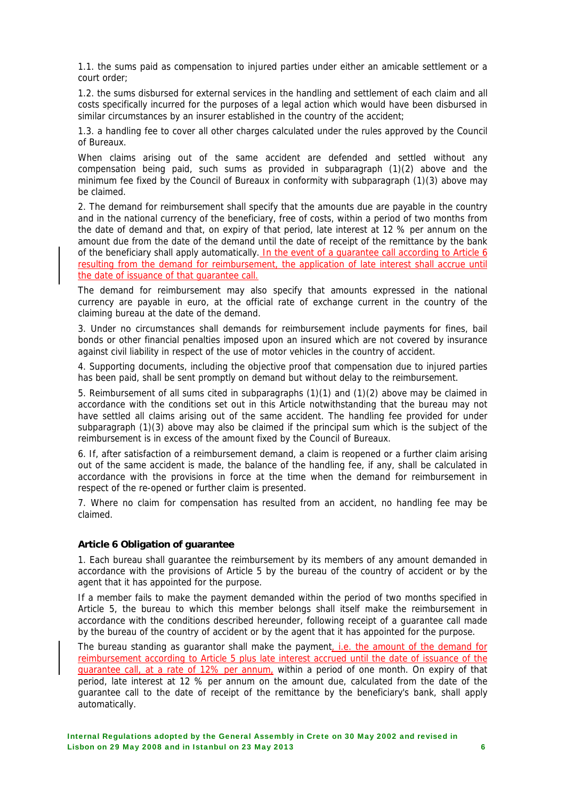1.1. the sums paid as compensation to injured parties under either an amicable settlement or a court order;

1.2. the sums disbursed for external services in the handling and settlement of each claim and all costs specifically incurred for the purposes of a legal action which would have been disbursed in similar circumstances by an insurer established in the country of the accident;

1.3. a handling fee to cover all other charges calculated under the rules approved by the Council of Bureaux.

When claims arising out of the same accident are defended and settled without any compensation being paid, such sums as provided in subparagraph (1)(2) above and the minimum fee fixed by the Council of Bureaux in conformity with subparagraph (1)(3) above may be claimed.

2. The demand for reimbursement shall specify that the amounts due are payable in the country and in the national currency of the beneficiary, free of costs, within a period of two months from the date of demand and that, on expiry of that period, late interest at 12 % per annum on the amount due from the date of the demand until the date of receipt of the remittance by the bank of the beneficiary shall apply automatically. In the event of a guarantee call according to Article 6 resulting from the demand for reimbursement, the application of late interest shall accrue until the date of issuance of that guarantee call.

The demand for reimbursement may also specify that amounts expressed in the national currency are payable in euro, at the official rate of exchange current in the country of the claiming bureau at the date of the demand.

3. Under no circumstances shall demands for reimbursement include payments for fines, bail bonds or other financial penalties imposed upon an insured which are not covered by insurance against civil liability in respect of the use of motor vehicles in the country of accident.

4. Supporting documents, including the objective proof that compensation due to injured parties has been paid, shall be sent promptly on demand but without delay to the reimbursement.

5. Reimbursement of all sums cited in subparagraphs (1)(1) and (1)(2) above may be claimed in accordance with the conditions set out in this Article notwithstanding that the bureau may not have settled all claims arising out of the same accident. The handling fee provided for under subparagraph (1)(3) above may also be claimed if the principal sum which is the subject of the reimbursement is in excess of the amount fixed by the Council of Bureaux.

6. If, after satisfaction of a reimbursement demand, a claim is reopened or a further claim arising out of the same accident is made, the balance of the handling fee, if any, shall be calculated in accordance with the provisions in force at the time when the demand for reimbursement in respect of the re-opened or further claim is presented.

7. Where no claim for compensation has resulted from an accident, no handling fee may be claimed.

# **Article 6 Obligation of guarantee**

1. Each bureau shall guarantee the reimbursement by its members of any amount demanded in accordance with the provisions of Article 5 by the bureau of the country of accident or by the agent that it has appointed for the purpose.

If a member fails to make the payment demanded within the period of two months specified in Article 5, the bureau to which this member belongs shall itself make the reimbursement in accordance with the conditions described hereunder, following receipt of a guarantee call made by the bureau of the country of accident or by the agent that it has appointed for the purpose.

The bureau standing as guarantor shall make the payment, i.e. the amount of the demand for reimbursement according to Article 5 plus late interest accrued until the date of issuance of the guarantee call, at a rate of 12% per annum, within a period of one month. On expiry of that period, late interest at 12 % per annum on the amount due, calculated from the date of the guarantee call to the date of receipt of the remittance by the beneficiary's bank, shall apply automatically.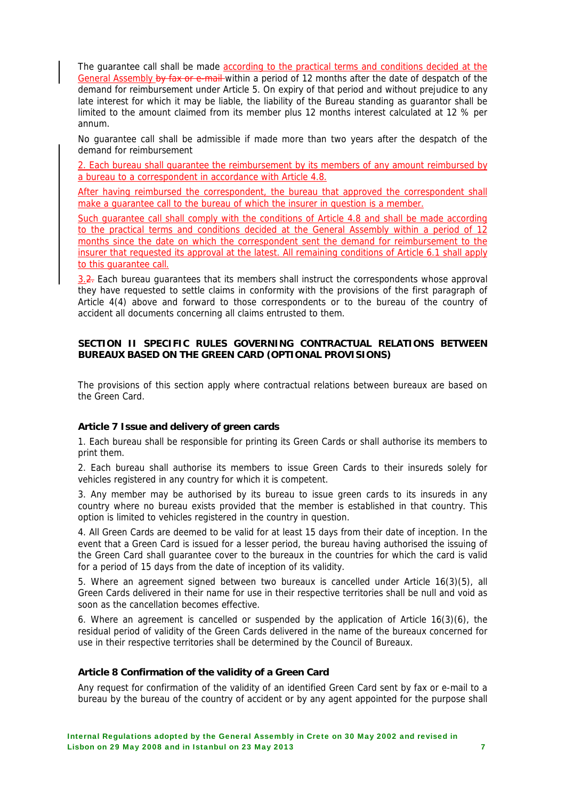The guarantee call shall be made according to the practical terms and conditions decided at the General Assembly by fax or e-mail within a period of 12 months after the date of despatch of the demand for reimbursement under Article 5. On expiry of that period and without prejudice to any late interest for which it may be liable, the liability of the Bureau standing as guarantor shall be limited to the amount claimed from its member plus 12 months interest calculated at 12 % per annum.

No guarantee call shall be admissible if made more than two years after the despatch of the demand for reimbursement

2. Each bureau shall guarantee the reimbursement by its members of any amount reimbursed by a bureau to a correspondent in accordance with Article 4.8.

After having reimbursed the correspondent, the bureau that approved the correspondent shall make a quarantee call to the bureau of which the insurer in question is a member.

Such guarantee call shall comply with the conditions of Article 4.8 and shall be made according to the practical terms and conditions decided at the General Assembly within a period of 12 months since the date on which the correspondent sent the demand for reimbursement to the insurer that requested its approval at the latest. All remaining conditions of Article 6.1 shall apply to this guarantee call.

3.2. Each bureau guarantees that its members shall instruct the correspondents whose approval they have requested to settle claims in conformity with the provisions of the first paragraph of Article 4(4) above and forward to those correspondents or to the bureau of the country of accident all documents concerning all claims entrusted to them.

# **SECTION II SPECIFIC RULES GOVERNING CONTRACTUAL RELATIONS BETWEEN BUREAUX BASED ON THE GREEN CARD (OPTIONAL PROVISIONS)**

The provisions of this section apply where contractual relations between bureaux are based on the Green Card.

# **Article 7 Issue and delivery of green cards**

1. Each bureau shall be responsible for printing its Green Cards or shall authorise its members to print them.

2. Each bureau shall authorise its members to issue Green Cards to their insureds solely for vehicles registered in any country for which it is competent.

3. Any member may be authorised by its bureau to issue green cards to its insureds in any country where no bureau exists provided that the member is established in that country. This option is limited to vehicles registered in the country in question.

4. All Green Cards are deemed to be valid for at least 15 days from their date of inception. In the event that a Green Card is issued for a lesser period, the bureau having authorised the issuing of the Green Card shall guarantee cover to the bureaux in the countries for which the card is valid for a period of 15 days from the date of inception of its validity.

5. Where an agreement signed between two bureaux is cancelled under Article 16(3)(5), all Green Cards delivered in their name for use in their respective territories shall be null and void as soon as the cancellation becomes effective.

6. Where an agreement is cancelled or suspended by the application of Article 16(3)(6), the residual period of validity of the Green Cards delivered in the name of the bureaux concerned for use in their respective territories shall be determined by the Council of Bureaux.

#### **Article 8 Confirmation of the validity of a Green Card**

Any request for confirmation of the validity of an identified Green Card sent by fax or e-mail to a bureau by the bureau of the country of accident or by any agent appointed for the purpose shall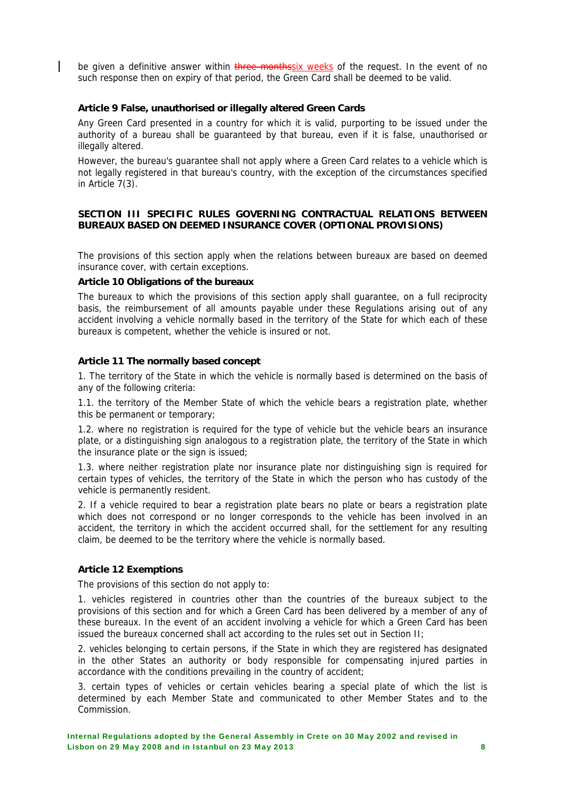be given a definitive answer within three monthssix weeks of the request. In the event of no such response then on expiry of that period, the Green Card shall be deemed to be valid.

## **Article 9 False, unauthorised or illegally altered Green Cards**

Any Green Card presented in a country for which it is valid, purporting to be issued under the authority of a bureau shall be guaranteed by that bureau, even if it is false, unauthorised or illegally altered.

However, the bureau's guarantee shall not apply where a Green Card relates to a vehicle which is not legally registered in that bureau's country, with the exception of the circumstances specified in Article 7(3).

## **SECTION III SPECIFIC RULES GOVERNING CONTRACTUAL RELATIONS BETWEEN BUREAUX BASED ON DEEMED INSURANCE COVER (OPTIONAL PROVISIONS)**

The provisions of this section apply when the relations between bureaux are based on deemed insurance cover, with certain exceptions.

#### **Article 10 Obligations of the bureaux**

The bureaux to which the provisions of this section apply shall guarantee, on a full reciprocity basis, the reimbursement of all amounts payable under these Regulations arising out of any accident involving a vehicle normally based in the territory of the State for which each of these bureaux is competent, whether the vehicle is insured or not.

#### **Article 11 The normally based concept**

1. The territory of the State in which the vehicle is normally based is determined on the basis of any of the following criteria:

1.1. the territory of the Member State of which the vehicle bears a registration plate, whether this be permanent or temporary;

1.2. where no registration is required for the type of vehicle but the vehicle bears an insurance plate, or a distinguishing sign analogous to a registration plate, the territory of the State in which the insurance plate or the sign is issued:

1.3. where neither registration plate nor insurance plate nor distinguishing sign is required for certain types of vehicles, the territory of the State in which the person who has custody of the vehicle is permanently resident.

2. If a vehicle required to bear a registration plate bears no plate or bears a registration plate which does not correspond or no longer corresponds to the vehicle has been involved in an accident, the territory in which the accident occurred shall, for the settlement for any resulting claim, be deemed to be the territory where the vehicle is normally based.

#### **Article 12 Exemptions**

The provisions of this section do not apply to:

1. vehicles registered in countries other than the countries of the bureaux subject to the provisions of this section and for which a Green Card has been delivered by a member of any of these bureaux. In the event of an accident involving a vehicle for which a Green Card has been issued the bureaux concerned shall act according to the rules set out in Section II;

2. vehicles belonging to certain persons, if the State in which they are registered has designated in the other States an authority or body responsible for compensating injured parties in accordance with the conditions prevailing in the country of accident;

3. certain types of vehicles or certain vehicles bearing a special plate of which the list is determined by each Member State and communicated to other Member States and to the Commission.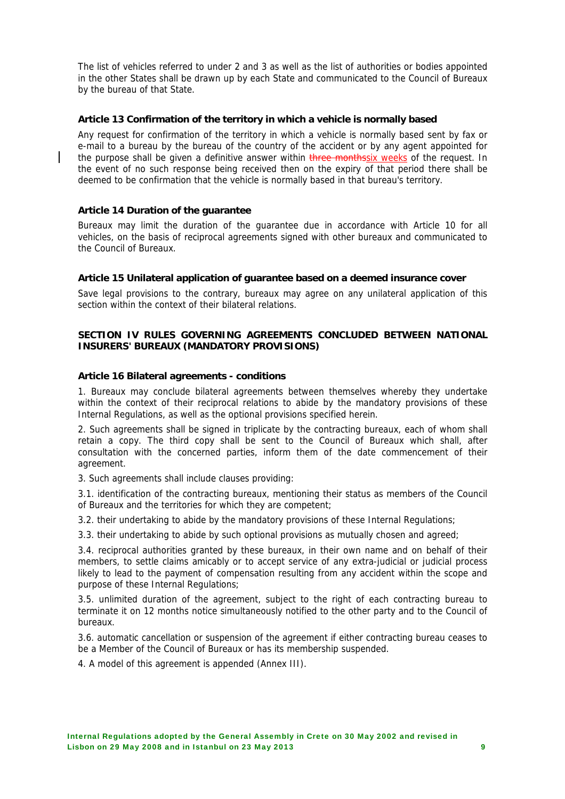The list of vehicles referred to under 2 and 3 as well as the list of authorities or bodies appointed in the other States shall be drawn up by each State and communicated to the Council of Bureaux by the bureau of that State.

## **Article 13 Confirmation of the territory in which a vehicle is normally based**

Any request for confirmation of the territory in which a vehicle is normally based sent by fax or e-mail to a bureau by the bureau of the country of the accident or by any agent appointed for the purpose shall be given a definitive answer within three monthssix weeks of the request. In the event of no such response being received then on the expiry of that period there shall be deemed to be confirmation that the vehicle is normally based in that bureau's territory.

## **Article 14 Duration of the guarantee**

Bureaux may limit the duration of the guarantee due in accordance with Article 10 for all vehicles, on the basis of reciprocal agreements signed with other bureaux and communicated to the Council of Bureaux.

## **Article 15 Unilateral application of guarantee based on a deemed insurance cover**

Save legal provisions to the contrary, bureaux may agree on any unilateral application of this section within the context of their bilateral relations.

## **SECTION IV RULES GOVERNING AGREEMENTS CONCLUDED BETWEEN NATIONAL INSURERS' BUREAUX (MANDATORY PROVISIONS)**

#### **Article 16 Bilateral agreements - conditions**

1. Bureaux may conclude bilateral agreements between themselves whereby they undertake within the context of their reciprocal relations to abide by the mandatory provisions of these Internal Regulations, as well as the optional provisions specified herein.

2. Such agreements shall be signed in triplicate by the contracting bureaux, each of whom shall retain a copy. The third copy shall be sent to the Council of Bureaux which shall, after consultation with the concerned parties, inform them of the date commencement of their agreement.

3. Such agreements shall include clauses providing:

3.1. identification of the contracting bureaux, mentioning their status as members of the Council of Bureaux and the territories for which they are competent;

3.2. their undertaking to abide by the mandatory provisions of these Internal Regulations;

3.3. their undertaking to abide by such optional provisions as mutually chosen and agreed;

3.4. reciprocal authorities granted by these bureaux, in their own name and on behalf of their members, to settle claims amicably or to accept service of any extra-judicial or judicial process likely to lead to the payment of compensation resulting from any accident within the scope and purpose of these Internal Regulations;

3.5. unlimited duration of the agreement, subject to the right of each contracting bureau to terminate it on 12 months notice simultaneously notified to the other party and to the Council of bureaux.

3.6. automatic cancellation or suspension of the agreement if either contracting bureau ceases to be a Member of the Council of Bureaux or has its membership suspended.

4. A model of this agreement is appended (Annex III).